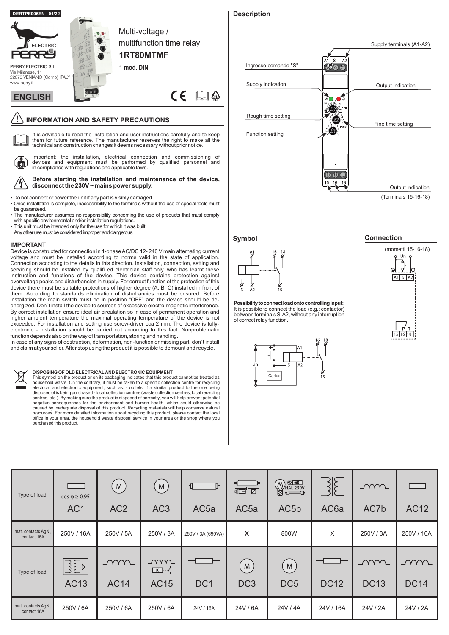

## **IMPORTANT**

Device is constructed for connection in 1-phase AC/DC 12- 240 V main alternating current voltage and must be installed according to norms valid in the state of application. Connection according to the details in this direction. Installation, connection, setting and servicing should be installed by qualifi ed electrician staff only, who has learnt these instruction and functions of the device. This device contains protection against overvoltage peaks and disturbancies in supply. For correct function of the protection of this device there must be suitable protections of higher degree (A, B, C) installed in front of them. According to standards elimination of disturbancies must be ensured. Before installation the main switch must be in position "OFF" and the device should be deenergized. Don´t install the device to sources of excessive electro-magnetic interference. By correct installation ensure ideal air circulation so in case of permanent operation and higher ambient temperature the maximal operating temperature of the device is not exceeded. For installation and setting use screw-driver cca 2 mm. The device is fullyelectronic - installation should be carried out according to this fact. Nonproblematic function depends also on the way of transportation, storing and handling.

In case of any signs of destruction, deformation, non-function or missing part, don´t install and claim at your seller.After stop using the product it is possible to demount and recycle.



## **DISPOSING OF OLD ELECTRICAL AND ELECTRONIC EQUIPMENT**

This symbol on the product or on its packaging indicates that this product cannot be treated as<br>household waste. On the contrary, it must be taken to a specific collection centre for recycling<br>electrical and electronic equ disposed of is being purchased - local collection centres (waste collection centres, local recycling centres, etc.). By making sure the product is disposed of correctly, you will help prevent potential negative consequences for the environment and human health, which could otherwise be caused by inadequate disposal of this product. Recycling materials will help conserve natural resources. For more detailed information about recycling this product, please contact the local office in your area, the household waste disposal service in your area or the shop where you purchased this product.

# Supply terminals (A1-A2)  $\mathbf{c}$ -A. Ingresso comando "S" しゅのう ふくしょう しょうかい しゅうしょう  $\mathbb{I}$ Supply indication Output indication '? ک Rough time setting ľΣ. Fine time setting ☎ Function setting あおな Output indication

(Terminals 15-16-18)

## **Symbol**



**Possibilitytoconnectloadontocontrollinginput:** It is possible to connect the load (e.g.: contactor) between terminals S-A2, without any interruption of correct relay function.



## **Connection**



| Type of load                       | $cos \varphi \ge 0.95$<br>AC <sub>1</sub>            | M<br>AC <sub>2</sub>      | M<br>-<br>AC <sub>3</sub> | Ъ<br>ᆌ.<br>AC <sub>5a</sub> | ्<br>बन्द<br>AC <sub>5a</sub> | $\bigotimes_{i=1}^{\infty} \frac{1}{i}$<br>AC <sub>5</sub> b | 315<br>AC <sub>6</sub> a | $\sim$<br>AC7b            | <b>AC12</b>               |
|------------------------------------|------------------------------------------------------|---------------------------|---------------------------|-----------------------------|-------------------------------|--------------------------------------------------------------|--------------------------|---------------------------|---------------------------|
| mat. contacts AgNi,<br>contact 16A | 250V / 16A                                           | 250V / 5A                 | 250V / 3A                 | 250V / 3A (690VA)           | X                             | 800W                                                         | X                        | 250V / 3A                 | 250V / 10A                |
| Type of load                       | $\exists$ $\mathbb{E}$ $\ast$ $\vert$<br><b>AC13</b> | <u>_WW</u><br><b>AC14</b> | <u>_ww_</u><br>中子<br>AC15 | DC <sub>1</sub>             | M<br>-<br>DC <sub>3</sub>     | M<br>DC <sub>5</sub>                                         | <b>DC12</b>              | <u>_ww</u><br><b>DC13</b> | <u>ww.</u><br><b>DC14</b> |
| mat. contacts AgNi,<br>contact 16A | 250V / 6A                                            | 250V / 6A                 | 250V / 6A                 | 24V / 16A                   | 24V / 6A                      | 24V / 4A                                                     | 24V / 16A                | 24V / 2A                  | 24V / 2A                  |